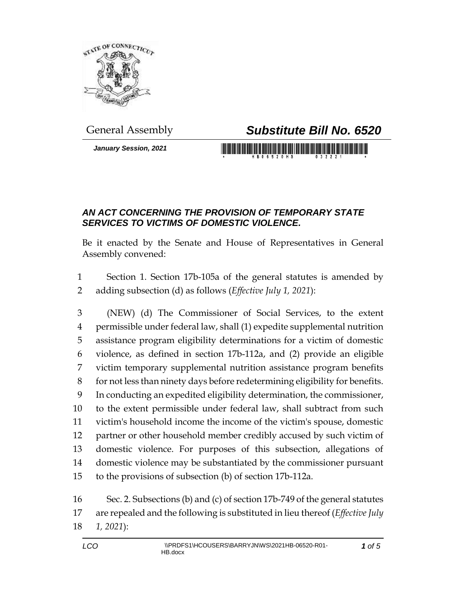

*January Session, 2021*

## General Assembly *Substitute Bill No. 6520*

## *AN ACT CONCERNING THE PROVISION OF TEMPORARY STATE SERVICES TO VICTIMS OF DOMESTIC VIOLENCE.*

Be it enacted by the Senate and House of Representatives in General Assembly convened:

 Section 1. Section 17b-105a of the general statutes is amended by adding subsection (d) as follows (*Effective July 1, 2021*):

 (NEW) (d) The Commissioner of Social Services, to the extent permissible under federal law, shall (1) expedite supplemental nutrition assistance program eligibility determinations for a victim of domestic violence, as defined in section 17b-112a, and (2) provide an eligible victim temporary supplemental nutrition assistance program benefits for not less than ninety days before redetermining eligibility for benefits. In conducting an expedited eligibility determination, the commissioner, to the extent permissible under federal law, shall subtract from such victim's household income the income of the victim's spouse, domestic partner or other household member credibly accused by such victim of domestic violence. For purposes of this subsection, allegations of domestic violence may be substantiated by the commissioner pursuant to the provisions of subsection (b) of section 17b-112a.

 Sec. 2. Subsections (b) and (c) of section 17b-749 of the general statutes are repealed and the following is substituted in lieu thereof (*Effective July 1, 2021*):

*of 5*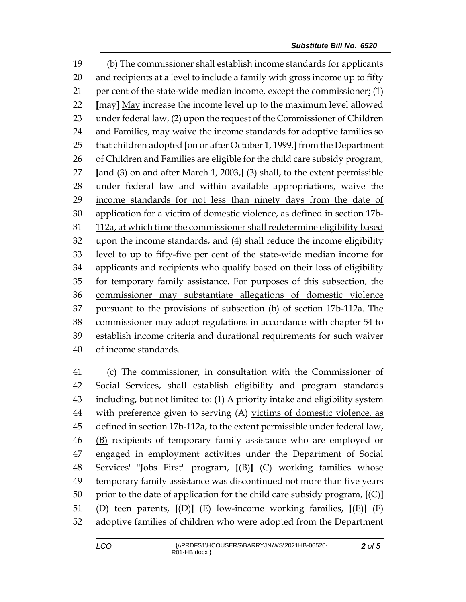(b) The commissioner shall establish income standards for applicants and recipients at a level to include a family with gross income up to fifty per cent of the state-wide median income, except the commissioner: (1) **[**may**]** May increase the income level up to the maximum level allowed under federal law, (2) upon the request of the Commissioner of Children and Families, may waive the income standards for adoptive families so that children adopted **[**on or after October 1, 1999,**]** from the Department of Children and Families are eligible for the child care subsidy program, **[**and (3) on and after March 1, 2003,**]** (3) shall, to the extent permissible under federal law and within available appropriations, waive the 29 income standards for not less than ninety days from the date of application for a victim of domestic violence, as defined in section 17b-31 112a, at which time the commissioner shall redetermine eligibility based upon the income standards, and (4) shall reduce the income eligibility level to up to fifty-five per cent of the state-wide median income for applicants and recipients who qualify based on their loss of eligibility for temporary family assistance. For purposes of this subsection, the commissioner may substantiate allegations of domestic violence pursuant to the provisions of subsection (b) of section 17b-112a. The commissioner may adopt regulations in accordance with chapter 54 to establish income criteria and durational requirements for such waiver of income standards.

 (c) The commissioner, in consultation with the Commissioner of Social Services, shall establish eligibility and program standards including, but not limited to: (1) A priority intake and eligibility system 44 with preference given to serving (A) victims of domestic violence, as defined in section 17b-112a, to the extent permissible under federal law, (B) recipients of temporary family assistance who are employed or engaged in employment activities under the Department of Social Services' "Jobs First" program, **[**(B)**]** (C) working families whose temporary family assistance was discontinued not more than five years prior to the date of application for the child care subsidy program, **[**(C)**]** (D) teen parents, **[**(D)**]** (E) low-income working families, **[**(E)**]** (F) adoptive families of children who were adopted from the Department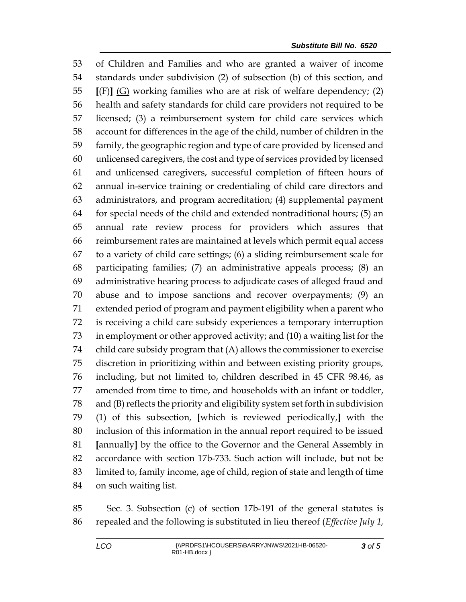of Children and Families and who are granted a waiver of income standards under subdivision (2) of subsection (b) of this section, and **[**(F)**]** (G) working families who are at risk of welfare dependency; (2) health and safety standards for child care providers not required to be licensed; (3) a reimbursement system for child care services which account for differences in the age of the child, number of children in the family, the geographic region and type of care provided by licensed and unlicensed caregivers, the cost and type of services provided by licensed and unlicensed caregivers, successful completion of fifteen hours of annual in-service training or credentialing of child care directors and administrators, and program accreditation; (4) supplemental payment for special needs of the child and extended nontraditional hours; (5) an annual rate review process for providers which assures that reimbursement rates are maintained at levels which permit equal access to a variety of child care settings; (6) a sliding reimbursement scale for participating families; (7) an administrative appeals process; (8) an administrative hearing process to adjudicate cases of alleged fraud and abuse and to impose sanctions and recover overpayments; (9) an extended period of program and payment eligibility when a parent who is receiving a child care subsidy experiences a temporary interruption in employment or other approved activity; and (10) a waiting list for the child care subsidy program that (A) allows the commissioner to exercise discretion in prioritizing within and between existing priority groups, including, but not limited to, children described in 45 CFR 98.46, as amended from time to time, and households with an infant or toddler, and (B) reflects the priority and eligibility system set forth in subdivision (1) of this subsection, **[**which is reviewed periodically,**]** with the inclusion of this information in the annual report required to be issued **[**annually**]** by the office to the Governor and the General Assembly in accordance with section 17b-733. Such action will include, but not be limited to, family income, age of child, region of state and length of time on such waiting list.

 Sec. 3. Subsection (c) of section 17b-191 of the general statutes is repealed and the following is substituted in lieu thereof (*Effective July 1,*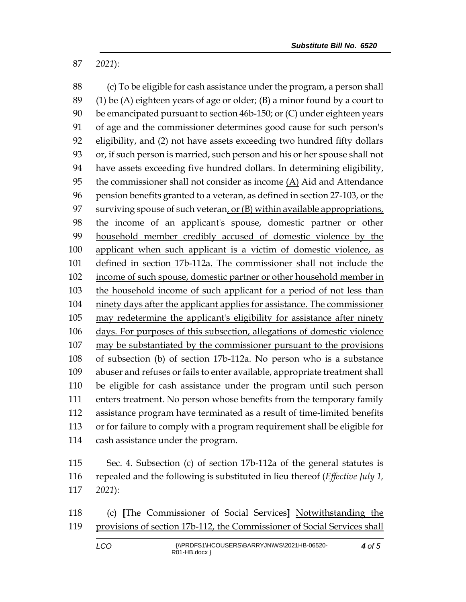*2021*):

 (c) To be eligible for cash assistance under the program, a person shall  $(1)$  be (A) eighteen years of age or older; (B) a minor found by a court to be emancipated pursuant to section 46b-150; or (C) under eighteen years of age and the commissioner determines good cause for such person's eligibility, and (2) not have assets exceeding two hundred fifty dollars or, if such person is married, such person and his or her spouse shall not have assets exceeding five hundred dollars. In determining eligibility, the commissioner shall not consider as income (A) Aid and Attendance pension benefits granted to a veteran, as defined in section 27-103, or the surviving spouse of such veteran, or (B) within available appropriations, the income of an applicant's spouse, domestic partner or other household member credibly accused of domestic violence by the applicant when such applicant is a victim of domestic violence, as defined in section 17b-112a. The commissioner shall not include the income of such spouse, domestic partner or other household member in the household income of such applicant for a period of not less than ninety days after the applicant applies for assistance. The commissioner may redetermine the applicant's eligibility for assistance after ninety 106 days. For purposes of this subsection, allegations of domestic violence may be substantiated by the commissioner pursuant to the provisions of subsection (b) of section 17b-112a. No person who is a substance abuser and refuses or fails to enter available, appropriate treatment shall be eligible for cash assistance under the program until such person enters treatment. No person whose benefits from the temporary family assistance program have terminated as a result of time-limited benefits or for failure to comply with a program requirement shall be eligible for cash assistance under the program.

 Sec. 4. Subsection (c) of section 17b-112a of the general statutes is repealed and the following is substituted in lieu thereof (*Effective July 1, 2021*):

 (c) **[**The Commissioner of Social Services**]** Notwithstanding the provisions of section 17b-112, the Commissioner of Social Services shall